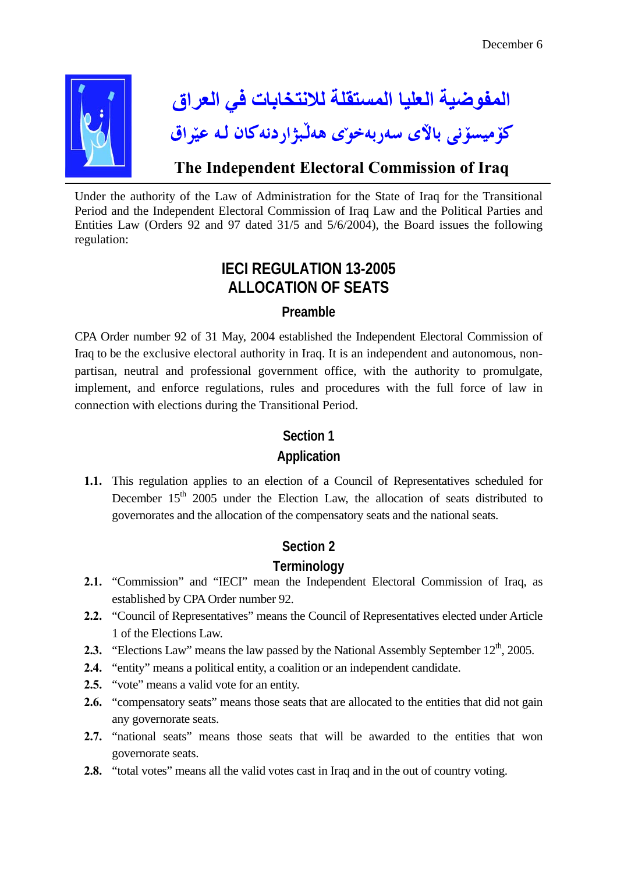

Under the authority of the Law of Administration for the State of Iraq for the Transitional Period and the Independent Electoral Commission of Iraq Law and the Political Parties and Entities Law (Orders 92 and 97 dated 31/5 and 5/6/2004), the Board issues the following regulation:

# **IECI REGULATION 13-2005 ALLOCATION OF SEATS**

## **Preamble**

CPA Order number 92 of 31 May, 2004 established the Independent Electoral Commission of Iraq to be the exclusive electoral authority in Iraq. It is an independent and autonomous, nonpartisan, neutral and professional government office, with the authority to promulgate, implement, and enforce regulations, rules and procedures with the full force of law in connection with elections during the Transitional Period.

## **Section 1**

# **Application**

**1.1.** This regulation applies to an election of a Council of Representatives scheduled for December 15<sup>th</sup> 2005 under the Election Law, the allocation of seats distributed to governorates and the allocation of the compensatory seats and the national seats.

# **Section 2**

# **Terminology**

- **2.1.** "Commission" and "IECI" mean the Independent Electoral Commission of Iraq, as established by CPA Order number 92.
- **2.2.** "Council of Representatives" means the Council of Representatives elected under Article 1 of the Elections Law.
- **2.3.** "Elections Law" means the law passed by the National Assembly September 12<sup>th</sup>, 2005.
- **2.4.** "entity" means a political entity, a coalition or an independent candidate.
- **2.5.** "vote" means a valid vote for an entity.
- **2.6.** "compensatory seats" means those seats that are allocated to the entities that did not gain any governorate seats.
- **2.7.** "national seats" means those seats that will be awarded to the entities that won governorate seats.
- **2.8.** "total votes" means all the valid votes cast in Iraq and in the out of country voting.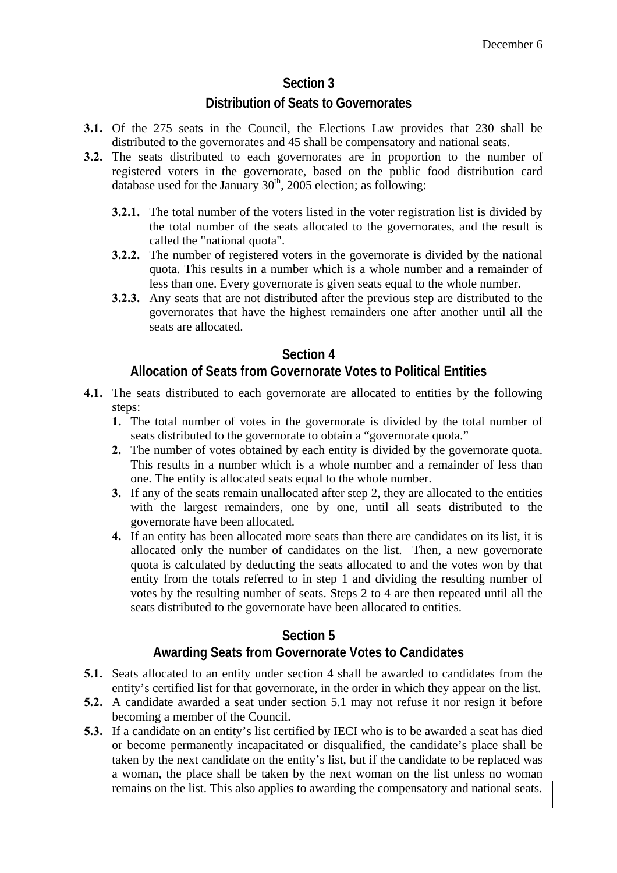# **Section 3**

## **Distribution of Seats to Governorates**

- **3.1.** Of the 275 seats in the Council, the Elections Law provides that 230 shall be distributed to the governorates and 45 shall be compensatory and national seats.
- **3.2.** The seats distributed to each governorates are in proportion to the number of registered voters in the governorate, based on the public food distribution card database used for the January  $30<sup>th</sup>$ , 2005 election; as following:
	- **3.2.1.** The total number of the voters listed in the voter registration list is divided by the total number of the seats allocated to the governorates, and the result is called the "national quota".
	- **3.2.2.** The number of registered voters in the governorate is divided by the national quota. This results in a number which is a whole number and a remainder of less than one. Every governorate is given seats equal to the whole number.
	- **3.2.3.** Any seats that are not distributed after the previous step are distributed to the governorates that have the highest remainders one after another until all the seats are allocated.

## **Section 4**

## **Allocation of Seats from Governorate Votes to Political Entities**

- **4.1.** The seats distributed to each governorate are allocated to entities by the following steps:
	- **1.** The total number of votes in the governorate is divided by the total number of seats distributed to the governorate to obtain a "governorate quota."
	- **2.** The number of votes obtained by each entity is divided by the governorate quota. This results in a number which is a whole number and a remainder of less than one. The entity is allocated seats equal to the whole number.
	- **3.** If any of the seats remain unallocated after step 2, they are allocated to the entities with the largest remainders, one by one, until all seats distributed to the governorate have been allocated.
	- **4.** If an entity has been allocated more seats than there are candidates on its list, it is allocated only the number of candidates on the list. Then, a new governorate quota is calculated by deducting the seats allocated to and the votes won by that entity from the totals referred to in step 1 and dividing the resulting number of votes by the resulting number of seats. Steps 2 to 4 are then repeated until all the seats distributed to the governorate have been allocated to entities.

# **Section 5**

## **Awarding Seats from Governorate Votes to Candidates**

- **5.1.** Seats allocated to an entity under section 4 shall be awarded to candidates from the entity's certified list for that governorate, in the order in which they appear on the list.
- **5.2.** A candidate awarded a seat under section 5.1 may not refuse it nor resign it before becoming a member of the Council.
- **5.3.** If a candidate on an entity's list certified by IECI who is to be awarded a seat has died or become permanently incapacitated or disqualified, the candidate's place shall be taken by the next candidate on the entity's list, but if the candidate to be replaced was a woman, the place shall be taken by the next woman on the list unless no woman remains on the list. This also applies to awarding the compensatory and national seats.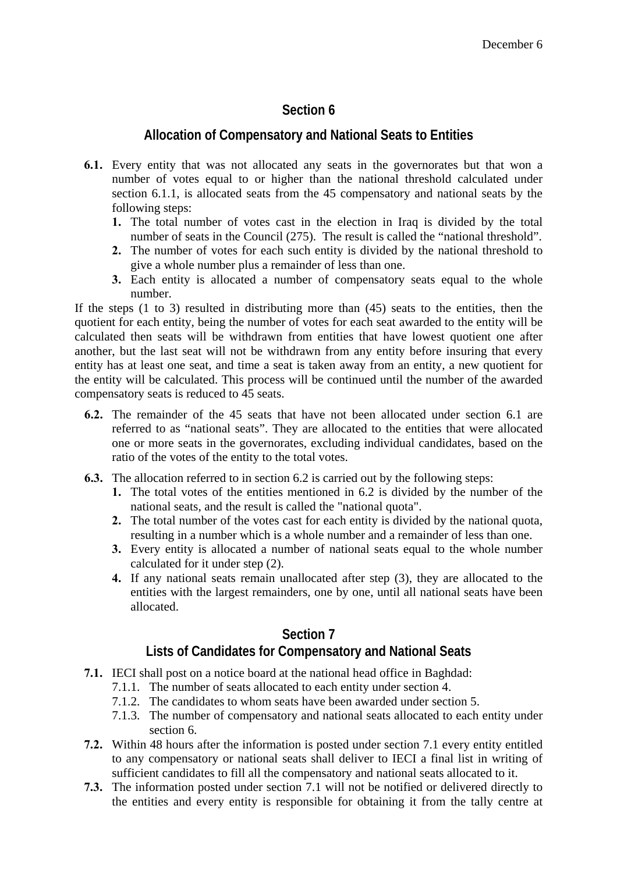# **Section 6**

#### **Allocation of Compensatory and National Seats to Entities**

- **6.1.** Every entity that was not allocated any seats in the governorates but that won a number of votes equal to or higher than the national threshold calculated under section 6.1.1, is allocated seats from the 45 compensatory and national seats by the following steps:
	- **1.** The total number of votes cast in the election in Iraq is divided by the total number of seats in the Council (275). The result is called the "national threshold".
	- **2.** The number of votes for each such entity is divided by the national threshold to give a whole number plus a remainder of less than one.
	- **3.** Each entity is allocated a number of compensatory seats equal to the whole number.

If the steps (1 to 3) resulted in distributing more than (45) seats to the entities, then the quotient for each entity, being the number of votes for each seat awarded to the entity will be calculated then seats will be withdrawn from entities that have lowest quotient one after another, but the last seat will not be withdrawn from any entity before insuring that every entity has at least one seat, and time a seat is taken away from an entity, a new quotient for the entity will be calculated. This process will be continued until the number of the awarded compensatory seats is reduced to 45 seats.

- **6.2.** The remainder of the 45 seats that have not been allocated under section 6.1 are referred to as "national seats". They are allocated to the entities that were allocated one or more seats in the governorates, excluding individual candidates, based on the ratio of the votes of the entity to the total votes.
- **6.3.** The allocation referred to in section 6.2 is carried out by the following steps:
	- **1.** The total votes of the entities mentioned in 6.2 is divided by the number of the national seats, and the result is called the "national quota".
	- **2.** The total number of the votes cast for each entity is divided by the national quota, resulting in a number which is a whole number and a remainder of less than one.
	- **3.** Every entity is allocated a number of national seats equal to the whole number calculated for it under step (2).
	- **4.** If any national seats remain unallocated after step (3), they are allocated to the entities with the largest remainders, one by one, until all national seats have been allocated.

#### **Section 7**

# **Lists of Candidates for Compensatory and National Seats**

- **7.1.** IECI shall post on a notice board at the national head office in Baghdad:
	- 7.1.1. The number of seats allocated to each entity under section 4.
	- 7.1.2. The candidates to whom seats have been awarded under section 5.
	- 7.1.3. The number of compensatory and national seats allocated to each entity under section 6.
- **7.2.** Within 48 hours after the information is posted under section 7.1 every entity entitled to any compensatory or national seats shall deliver to IECI a final list in writing of sufficient candidates to fill all the compensatory and national seats allocated to it.
- **7.3.** The information posted under section 7.1 will not be notified or delivered directly to the entities and every entity is responsible for obtaining it from the tally centre at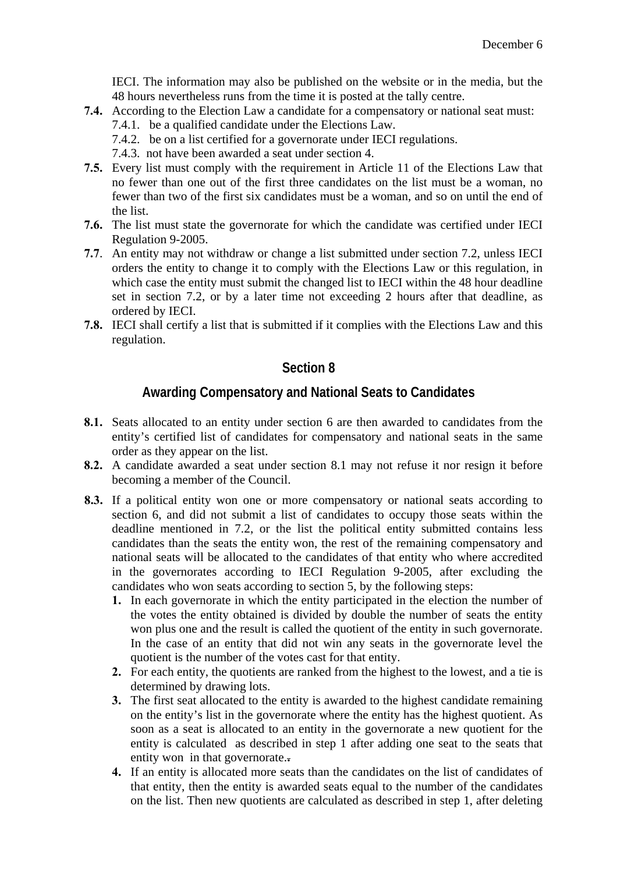IECI. The information may also be published on the website or in the media, but the 48 hours nevertheless runs from the time it is posted at the tally centre.

- **7.4.** According to the Election Law a candidate for a compensatory or national seat must:
	- 7.4.1. be a qualified candidate under the Elections Law.
	- 7.4.2. be on a list certified for a governorate under IECI regulations.
	- 7.4.3. not have been awarded a seat under section 4.
- **7.5.** Every list must comply with the requirement in Article 11 of the Elections Law that no fewer than one out of the first three candidates on the list must be a woman, no fewer than two of the first six candidates must be a woman, and so on until the end of the list.
- **7.6.** The list must state the governorate for which the candidate was certified under IECI Regulation 9-2005.
- **7.7**. An entity may not withdraw or change a list submitted under section 7.2, unless IECI orders the entity to change it to comply with the Elections Law or this regulation, in which case the entity must submit the changed list to IECI within the 48 hour deadline set in section 7.2, or by a later time not exceeding 2 hours after that deadline, as ordered by IECI.
- **7.8.** IECI shall certify a list that is submitted if it complies with the Elections Law and this regulation.

#### **Section 8**

#### **Awarding Compensatory and National Seats to Candidates**

- **8.1.** Seats allocated to an entity under section 6 are then awarded to candidates from the entity's certified list of candidates for compensatory and national seats in the same order as they appear on the list.
- **8.2.** A candidate awarded a seat under section 8.1 may not refuse it nor resign it before becoming a member of the Council.
- **8.3.** If a political entity won one or more compensatory or national seats according to section 6, and did not submit a list of candidates to occupy those seats within the deadline mentioned in 7.2, or the list the political entity submitted contains less candidates than the seats the entity won, the rest of the remaining compensatory and national seats will be allocated to the candidates of that entity who where accredited in the governorates according to IECI Regulation 9-2005, after excluding the candidates who won seats according to section 5, by the following steps:
	- **1.** In each governorate in which the entity participated in the election the number of the votes the entity obtained is divided by double the number of seats the entity won plus one and the result is called the quotient of the entity in such governorate. In the case of an entity that did not win any seats in the governorate level the quotient is the number of the votes cast for that entity.
	- **2.** For each entity, the quotients are ranked from the highest to the lowest, and a tie is determined by drawing lots.
	- **3.** The first seat allocated to the entity is awarded to the highest candidate remaining on the entity's list in the governorate where the entity has the highest quotient. As soon as a seat is allocated to an entity in the governorate a new quotient for the entity is calculated as described in step 1 after adding one seat to the seats that entity won in that governorate.**.**
	- **4.** If an entity is allocated more seats than the candidates on the list of candidates of that entity, then the entity is awarded seats equal to the number of the candidates on the list. Then new quotients are calculated as described in step 1, after deleting